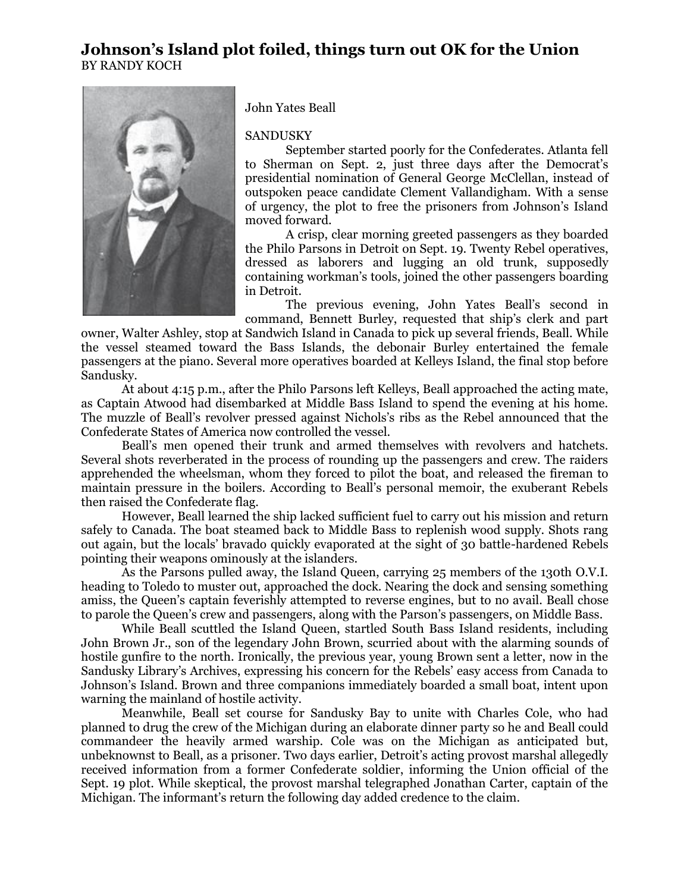## **Johnson's Island plot foiled, things turn out OK for the Union** BY RANDY KOCH



John Yates Beall

## SANDUSKY

September started poorly for the Confederates. Atlanta fell to Sherman on Sept. 2, just three days after the Democrat's presidential nomination of General George McClellan, instead of outspoken peace candidate Clement Vallandigham. With a sense of urgency, the plot to free the prisoners from Johnson's Island moved forward.

A crisp, clear morning greeted passengers as they boarded the Philo Parsons in Detroit on Sept. 19. Twenty Rebel operatives, dressed as laborers and lugging an old trunk, supposedly containing workman's tools, joined the other passengers boarding in Detroit.

The previous evening, John Yates Beall's second in command, Bennett Burley, requested that ship's clerk and part

owner, Walter Ashley, stop at Sandwich Island in Canada to pick up several friends, Beall. While the vessel steamed toward the Bass Islands, the debonair Burley entertained the female passengers at the piano. Several more operatives boarded at Kelleys Island, the final stop before Sandusky.

At about 4:15 p.m., after the Philo Parsons left Kelleys, Beall approached the acting mate, as Captain Atwood had disembarked at Middle Bass Island to spend the evening at his home. The muzzle of Beall's revolver pressed against Nichols's ribs as the Rebel announced that the Confederate States of America now controlled the vessel.

Beall's men opened their trunk and armed themselves with revolvers and hatchets. Several shots reverberated in the process of rounding up the passengers and crew. The raiders apprehended the wheelsman, whom they forced to pilot the boat, and released the fireman to maintain pressure in the boilers. According to Beall's personal memoir, the exuberant Rebels then raised the Confederate flag.

However, Beall learned the ship lacked sufficient fuel to carry out his mission and return safely to Canada. The boat steamed back to Middle Bass to replenish wood supply. Shots rang out again, but the locals' bravado quickly evaporated at the sight of 30 battle-hardened Rebels pointing their weapons ominously at the islanders.

As the Parsons pulled away, the Island Queen, carrying 25 members of the 130th O.V.I. heading to Toledo to muster out, approached the dock. Nearing the dock and sensing something amiss, the Queen's captain feverishly attempted to reverse engines, but to no avail. Beall chose to parole the Queen's crew and passengers, along with the Parson's passengers, on Middle Bass.

While Beall scuttled the Island Queen, startled South Bass Island residents, including John Brown Jr., son of the legendary John Brown, scurried about with the alarming sounds of hostile gunfire to the north. Ironically, the previous year, young Brown sent a letter, now in the Sandusky Library's Archives, expressing his concern for the Rebels' easy access from Canada to Johnson's Island. Brown and three companions immediately boarded a small boat, intent upon warning the mainland of hostile activity.

Meanwhile, Beall set course for Sandusky Bay to unite with Charles Cole, who had planned to drug the crew of the Michigan during an elaborate dinner party so he and Beall could commandeer the heavily armed warship. Cole was on the Michigan as anticipated but, unbeknownst to Beall, as a prisoner. Two days earlier, Detroit's acting provost marshal allegedly received information from a former Confederate soldier, informing the Union official of the Sept. 19 plot. While skeptical, the provost marshal telegraphed Jonathan Carter, captain of the Michigan. The informant's return the following day added credence to the claim.